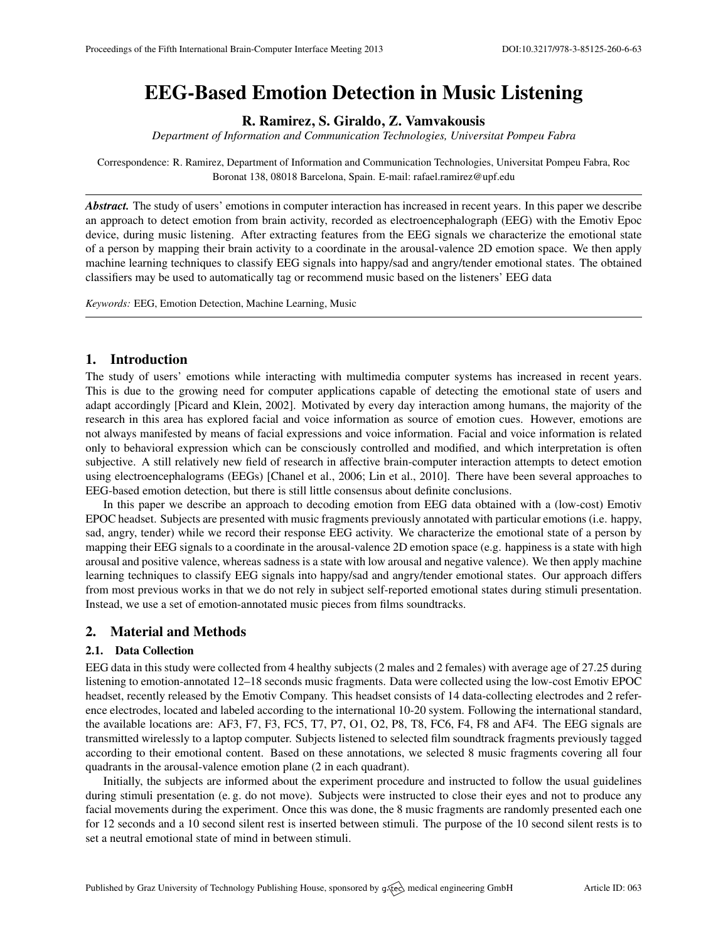# EEG-Based Emotion Detection in Music Listening

R. Ramirez, S. Giraldo, Z. Vamvakousis

*Department of Information and Communication Technologies, Universitat Pompeu Fabra*

Correspondence: R. Ramirez, Department of Information and Communication Technologies, Universitat Pompeu Fabra, Roc Boronat 138, 08018 Barcelona, Spain. E-mail: [rafael.ramirez@upf.edu](mailto:rafael.ramirez@upf.edu)

*Abstract.* The study of users' emotions in computer interaction has increased in recent years. In this paper we describe an approach to detect emotion from brain activity, recorded as electroencephalograph (EEG) with the Emotiv Epoc device, during music listening. After extracting features from the EEG signals we characterize the emotional state of a person by mapping their brain activity to a coordinate in the arousal-valence 2D emotion space. We then apply machine learning techniques to classify EEG signals into happy/sad and angry/tender emotional states. The obtained classifiers may be used to automatically tag or recommend music based on the listeners' EEG data

*Keywords:* EEG, Emotion Detection, Machine Learning, Music

# 1. Introduction

The study of users' emotions while interacting with multimedia computer systems has increased in recent years. This is due to the growing need for computer applications capable of detecting the emotional state of users and adapt accordingly [\[Picard and Klein,](#page-1-0) [2002\]](#page-1-0). Motivated by every day interaction among humans, the majority of the research in this area has explored facial and voice information as source of emotion cues. However, emotions are not always manifested by means of facial expressions and voice information. Facial and voice information is related only to behavioral expression which can be consciously controlled and modified, and which interpretation is often subjective. A still relatively new field of research in affective brain-computer interaction attempts to detect emotion using electroencephalograms (EEGs) [\[Chanel et al.,](#page-1-1) [2006;](#page-1-1) [Lin et al.,](#page-1-2) [2010\]](#page-1-2). There have been several approaches to EEG-based emotion detection, but there is still little consensus about definite conclusions.

In this paper we describe an approach to decoding emotion from EEG data obtained with a (low-cost) Emotiv EPOC headset. Subjects are presented with music fragments previously annotated with particular emotions (i.e. happy, sad, angry, tender) while we record their response EEG activity. We characterize the emotional state of a person by mapping their EEG signals to a coordinate in the arousal-valence 2D emotion space (e.g. happiness is a state with high arousal and positive valence, whereas sadness is a state with low arousal and negative valence). We then apply machine learning techniques to classify EEG signals into happy/sad and angry/tender emotional states. Our approach differs from most previous works in that we do not rely in subject self-reported emotional states during stimuli presentation. Instead, we use a set of emotion-annotated music pieces from films soundtracks.

## 2. Material and Methods

### 2.1. Data Collection

EEG data in this study were collected from 4 healthy subjects (2 males and 2 females) with average age of 27.25 during listening to emotion-annotated 12–18 seconds music fragments. Data were collected using the low-cost Emotiv EPOC headset, recently released by the Emotiv Company. This headset consists of 14 data-collecting electrodes and 2 reference electrodes, located and labeled according to the international 10-20 system. Following the international standard, the available locations are: AF3, F7, F3, FC5, T7, P7, O1, O2, P8, T8, FC6, F4, F8 and AF4. The EEG signals are transmitted wirelessly to a laptop computer. Subjects listened to selected film soundtrack fragments previously tagged according to their emotional content. Based on these annotations, we selected 8 music fragments covering all four quadrants in the arousal-valence emotion plane (2 in each quadrant).

Initially, the subjects are informed about the experiment procedure and instructed to follow the usual guidelines during stimuli presentation (e.g. do not move). Subjects were instructed to close their eyes and not to produce any facial movements during the experiment. Once this was done, the 8 music fragments are randomly presented each one for 12 seconds and a 10 second silent rest is inserted between stimuli. The purpose of the 10 second silent rests is to set a neutral emotional state of mind in between stimuli.